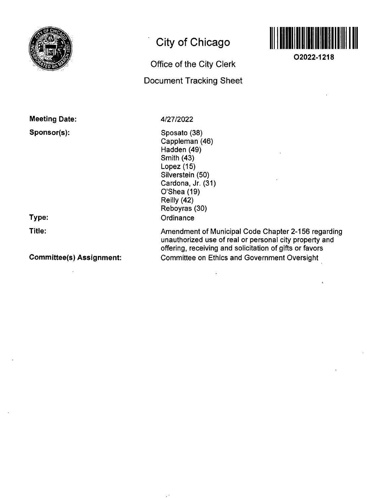

# **City of Chicago**

# Office of the City Clerk Docunnent Tracking Sheet



**02022-1218** 

Meeting Date:

# Sponsor(s):

Type: Title:

## Committee(s) Assignment:

4/27/2022

Sposato (38) Cappleman (46) Hadden (49) Smith (43) Lopez (15) Silverstein (50) Cardona, Jr. (31) O'Shea (19) Reilly (42) Reboyras (30) **Ordinance** 

Amendment of Municipal Code Chapter 2-156 regarding unauthorized use of real or personal city property and offering, receiving and solicitation of gifts or favors Committee on Ethics and Government Oversight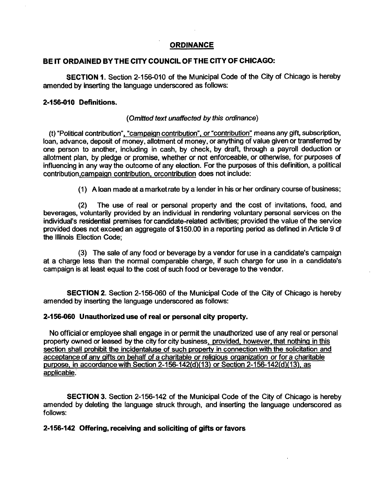#### **ORDINANCE**

## **BE IT ORDAINED BY THE CITY COUNCIL OF THE CITY OF CHICAGO:**

SECTION 1. Section 2-156-010 of the Municipal Code of the City of Chicago is hereby amended by inserting the language underscored as follows:

#### **2-156-010 Definitions.**

#### {Omitted text unaffected by this ordinance)

(t) "Political contribution", "campaign contribution", or "contribution" means any gift, subscription, loan, advance, deposit of money, allotment of money, or anything of value given or transferred by one person to another, including in cash, by check, by draft, through a payroll deduction or allotment plan, by pledge or promise, whether or not enforceable, or otherwise, for purposes of influencing in any way the outcome of any election. For the purposes of this definition, a political contribution.campaign contribution, orcontribution does not include:

(1) Aloan made at a marketrate by a lender in his or her ordinary course of business;

(2) The use of real or personal property and the cost of invitations, food, and beverages, voluntarily provided by an individual in rendering voluntary personal services on the individual's residential premises for candidate-related activities; provided the value ofthe service provided does not exceed an aggregate of \$150.00 in a reporting period as defined in Article 9 of the Illinois Election Code;

(3) The sale of any food or beverage by a vendor for use in a candidate's campaign at a charge less than the normal comparable charge, if such charge for use in a candidate's campaign is at least equal to the cost of such food or beverage to the vendor.

SECTION 2. Section 2-156-060 of the Municipal Code of the City of Chicago is hereby amended by inserting the language underscored as follows:

#### **2-156-060 Unauthorized use of real or personal city property.**

No official or employee shall engage in or permit the unauthorized use of any real or personal property owned or leased by the city for city business, provided, however, that nothing in this section shall prohibit the incidentaluse of such property in connection with the solicitation and acceptance of any gifts on behalf of a charitable or religious organization or for a charitable purpose, in accordance with Section 2-156-142(d)(13) or Section 2-156-142(d)(13). as applicable.

SECTION 3. Section 2-156-142 of the Municipal Code of the City of Chicago is hereby amended by deleting the language struck through, and inserting the language underscored as follows:

### **2-156-142 Offering, receiving and soliciting of gifts or favors**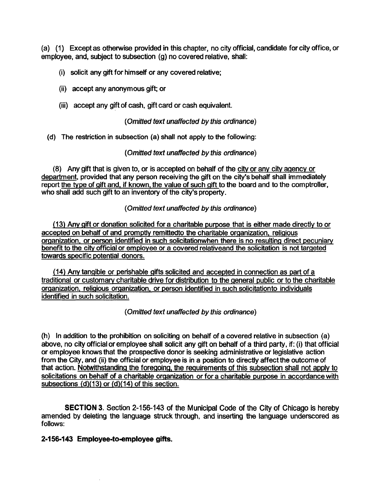(a) (1) Except as othenwise provided in this chapter, no city official, candidate for city office, or employee, and, subject to subsection (g) no covered relative, shall:

- (i) solicit any gift for himself or any covered relative;
- (ii) accept any anonymous gift; or
- (iii) accept any gift of cash, gift card or cash equivalent.

#### {Omitted text unaffected by this ordinance)

(d) The restriction in subsection (a) shall not apply to the following:

#### {Omitted text unaffected by this ordinance)

(8) Any gift that is given to, or is accepted on behalf of the citv or anv citv aoencv or department, provided that any person receiving the gift on the city's behalf shall immediately report the type of gift and, if known, the value of such gift to the board and to the comptroller, who shall add such gift to an inventory of the city's property.

#### {Omitted text unaffected by this ordinance)

(13) Anv gift or donation solicited fora charitable purpose that is either made directly to or accepted on behalf of and promptly remittedto the charitable organization, religious organization, or person identified in such solicitationwhen there is no resulting direct pecuniarv benefit to the citv official or emplovee or a covered relativeand the solicitation is not targeted towards specific potential donors.

(14) Anv tangible or perishable gifts solicited and accepted in connection as part of a traditional or customary charitable drive for distribution to the general public or to the charitable organization, religious organization, or person identified in such solicitationto individuals identified in such solicitation.

{Omitted text unaffected by this ordinance)

(h) In addition to the prohibition on soliciting on behalf of a covered relative in subsection (a) above, no city official or employee shall solicit any gift on behalf of a third party, if: (i) that official or employee knows that the prospective donor is seeking administrative or legislative action from the City, and (ii) the official or employee is in a position to directly affect the outcome of that action. Notwithstanding the foregoing, the requirements of this subsection shall not apply to solicitations on behalf of a charitable organization or fora charitable purpose in accordance with subsections  $(d)(13)$  or  $(d)(14)$  of this section.

SECTION 3. Section 2-156-143 of the Municipal Code of the City of Chicago is hereby amended by deleting the language struck through, and inserting the language underscored as follows:

### **2-156-143 Employee-to-employee gifts.**